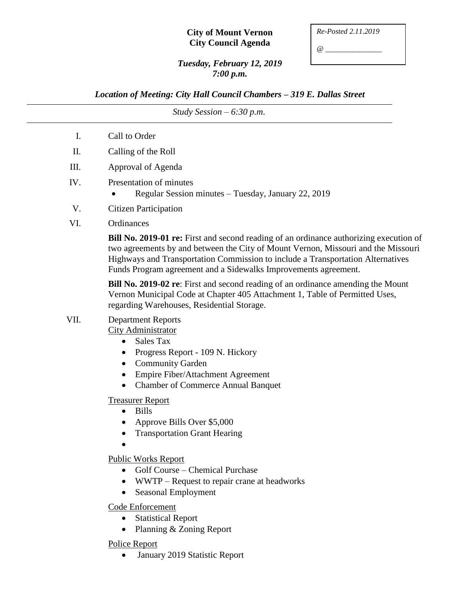## **City of Mount Vernon City Council Agenda**

| Re-Posted 2.11.2019 |  |
|---------------------|--|
|                     |  |

*@ \_\_\_\_\_\_\_\_\_\_\_\_\_\_\_*

## *Tuesday, February 12, 2019 7:00 p.m.*

*Location of Meeting: City Hall Council Chambers – 319 E. Dallas Street*

*Study Session – 6:30 p.m.* I. Call to Order II. Calling of the Roll III. Approval of Agenda IV. Presentation of minutes • Regular Session minutes – Tuesday, January 22, 2019 V. Citizen Participation VI. Ordinances **Bill No. 2019-01 re:** First and second reading of an ordinance authorizing execution of two agreements by and between the City of Mount Vernon, Missouri and the Missouri Highways and Transportation Commission to include a Transportation Alternatives Funds Program agreement and a Sidewalks Improvements agreement. **Bill No. 2019-02 re**: First and second reading of an ordinance amending the Mount Vernon Municipal Code at Chapter 405 Attachment 1, Table of Permitted Uses, regarding Warehouses, Residential Storage. VII. Department Reports City Administrator • Sales Tax • Progress Report - 109 N. Hickory • Community Garden • Empire Fiber/Attachment Agreement Chamber of Commerce Annual Banquet Treasurer Report • Bills • Approve Bills Over \$5,000 • Transportation Grant Hearing  $\bullet$ Public Works Report • Golf Course – Chemical Purchase • WWTP – Request to repair crane at headworks • Seasonal Employment Code Enforcement • Statistical Report • Planning & Zoning Report

Police Report

• January 2019 Statistic Report